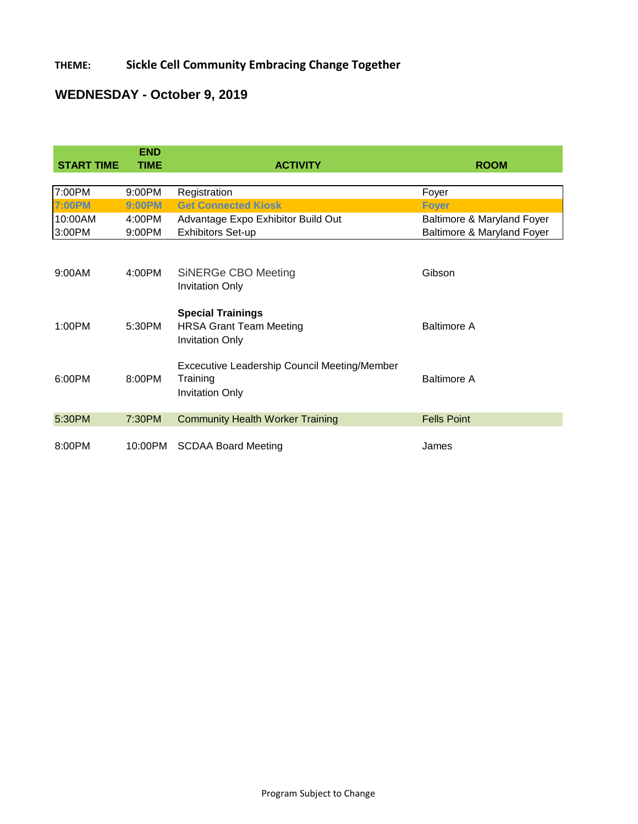### **THEME: Sickle Cell Community Embracing Change Together**

# **WEDNESDAY - October 9, 2019**

|                   | <b>END</b>  |                                                                                      |                            |
|-------------------|-------------|--------------------------------------------------------------------------------------|----------------------------|
| <b>START TIME</b> | <b>TIME</b> | <b>ACTIVITY</b>                                                                      | <b>ROOM</b>                |
| 7:00PM            | 9:00PM      | Registration                                                                         | Foyer                      |
| <b>7:00PM</b>     | 9:00PM      | <b>Get Connected Kiosk</b>                                                           | <b>Foyer</b>               |
| 10:00AM           | 4:00PM      | Advantage Expo Exhibitor Build Out                                                   | Baltimore & Maryland Foyer |
| 3:00PM            | 9:00PM      | <b>Exhibitors Set-up</b>                                                             | Baltimore & Maryland Foyer |
| 9:00AM            | 4:00PM      | SiNERGe CBO Meeting<br><b>Invitation Only</b>                                        | Gibson                     |
| 1:00PM            | 5:30PM      | <b>Special Trainings</b><br><b>HRSA Grant Team Meeting</b><br><b>Invitation Only</b> | <b>Baltimore A</b>         |
| 6:00PM            | 8:00PM      | Excecutive Leadership Council Meeting/Member<br>Training<br><b>Invitation Only</b>   | <b>Baltimore A</b>         |
| 5:30PM            | 7:30PM      | <b>Community Health Worker Training</b>                                              | <b>Fells Point</b>         |
| 8:00PM            | 10:00PM     | <b>SCDAA Board Meeting</b>                                                           | James                      |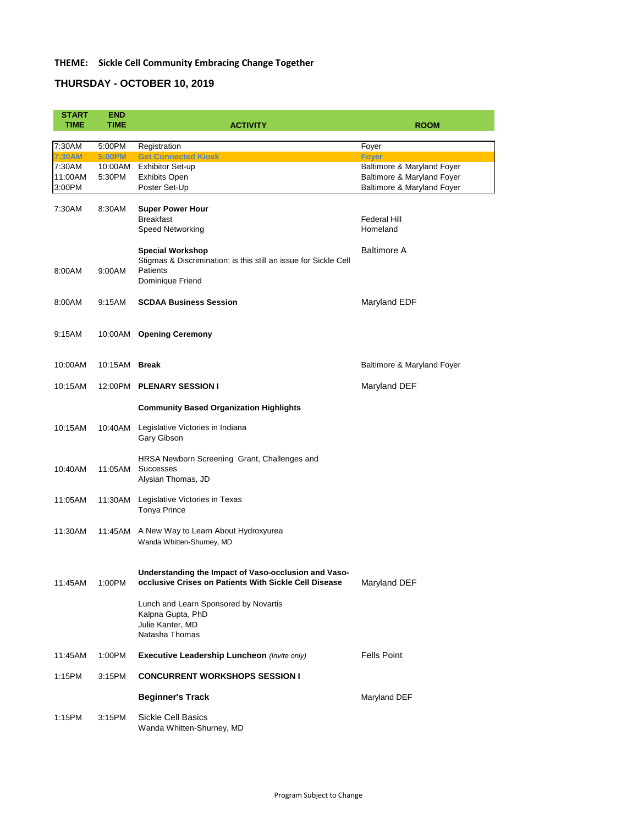## **THEME: Sickle Cell Community Embracing Change Together**

## **THURSDAY - OCTOBER 10, 2019**

| <b>START</b><br><b>TIME</b>           | <b>END</b><br><b>TIME</b>          | <b>ACTIVITY</b>                                                                                                                                                                                 | <b>ROOM</b>                                                                                            |
|---------------------------------------|------------------------------------|-------------------------------------------------------------------------------------------------------------------------------------------------------------------------------------------------|--------------------------------------------------------------------------------------------------------|
|                                       |                                    |                                                                                                                                                                                                 |                                                                                                        |
| 7:30AM                                | 5:00PM                             | Registration                                                                                                                                                                                    | Foyer                                                                                                  |
| 7:30AM<br>7:30AM<br>11:00AM<br>3:00PM | <b>5:00PM</b><br>10:00AM<br>5:30PM | <b>Get Connected Kiosk</b><br><b>Exhibitor Set-up</b><br><b>Exhibits Open</b><br>Poster Set-Up                                                                                                  | <b>Foyer</b><br>Baltimore & Maryland Foyer<br>Baltimore & Maryland Foyer<br>Baltimore & Maryland Foyer |
| 7:30AM                                | 8:30AM                             | <b>Super Power Hour</b><br><b>Breakfast</b><br><b>Speed Networking</b>                                                                                                                          | <b>Federal Hill</b><br>Homeland                                                                        |
| 8:00AM                                | 9:00AM                             | <b>Special Workshop</b><br>Stigmas & Discrimination: is this still an issue for Sickle Cell<br><b>Patients</b><br>Dominique Friend                                                              | <b>Baltimore A</b>                                                                                     |
| 8:00AM                                | 9:15AM                             | <b>SCDAA Business Session</b>                                                                                                                                                                   | Maryland EDF                                                                                           |
| 9:15AM                                | 10:00AM                            | <b>Opening Ceremony</b>                                                                                                                                                                         |                                                                                                        |
| 10:00AM                               | 10:15AM                            | <b>Break</b>                                                                                                                                                                                    | <b>Baltimore &amp; Maryland Foyer</b>                                                                  |
| 10:15AM                               | 12:00PM                            | <b>PLENARY SESSION I</b>                                                                                                                                                                        | Maryland DEF                                                                                           |
|                                       |                                    | <b>Community Based Organization Highlights</b>                                                                                                                                                  |                                                                                                        |
| 10:15AM                               | 10:40AM                            | Legislative Victories in Indiana<br>Gary Gibson                                                                                                                                                 |                                                                                                        |
| 10:40AM                               | 11:05AM                            | HRSA Newborn Screening Grant, Challenges and<br><b>Successes</b><br>Alysian Thomas, JD                                                                                                          |                                                                                                        |
| 11:05AM                               | 11:30AM                            | Legislative Victories in Texas<br><b>Tonya Prince</b>                                                                                                                                           |                                                                                                        |
| 11:30AM                               | 11:45AM                            | A New Way to Learn About Hydroxyurea<br>Wanda Whitten-Shurney, MD                                                                                                                               |                                                                                                        |
| 11:45AM                               | 1:00PM                             | Understanding the Impact of Vaso-occlusion and Vaso-<br>occlusive Crises on Patients With Sickle Cell Disease<br>Lunch and Learn Sponsored by Novartis<br>Kalpna Gupta, PhD<br>Julie Kanter, MD | Maryland DEF                                                                                           |
|                                       |                                    | Natasha Thomas                                                                                                                                                                                  |                                                                                                        |

11:45AM 1:00PM **Executive Leadership Luncheon** *(Invite only)* Fells Point

### 1:15PM 3:15PM **CONCURRENT WORKSHOPS SESSION I**

### **Beginner's Track** Maryland DEF

1:15PM 3:15PM Sickle Cell Basics Wanda Whitten-Shurney, MD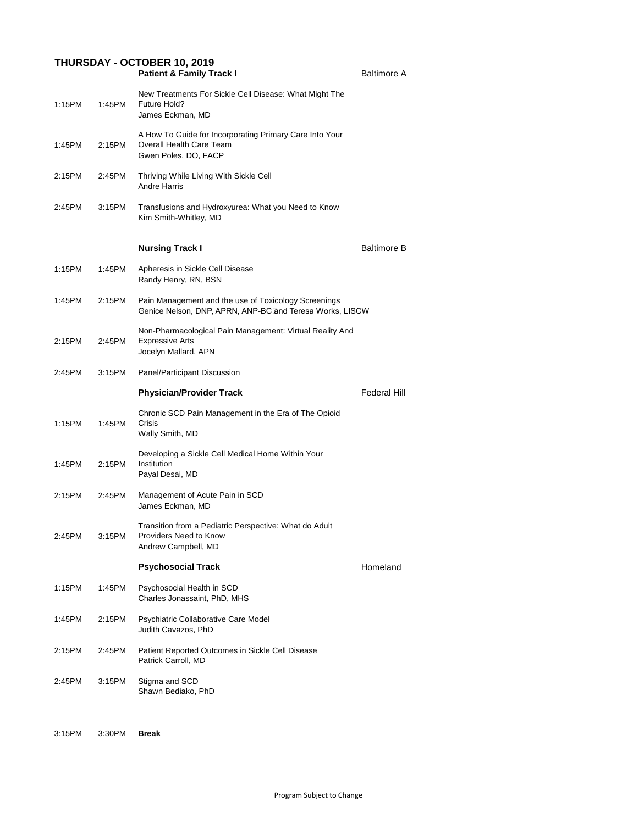## **THURSDAY - OCTOBER 10, 2019**

|        |        | <b>Patient &amp; Family Track I</b>                                                                                | <b>Baltimore A</b>  |
|--------|--------|--------------------------------------------------------------------------------------------------------------------|---------------------|
| 1:15PM | 1:45PM | New Treatments For Sickle Cell Disease: What Might The<br>Future Hold?<br>James Eckman, MD                         |                     |
| 1:45PM | 2:15PM | A How To Guide for Incorporating Primary Care Into Your<br><b>Overall Health Care Team</b><br>Gwen Poles, DO, FACP |                     |
| 2:15PM | 2:45PM | Thriving While Living With Sickle Cell<br><b>Andre Harris</b>                                                      |                     |
| 2:45PM | 3:15PM | Transfusions and Hydroxyurea: What you Need to Know<br>Kim Smith-Whitley, MD                                       |                     |
|        |        | <b>Nursing Track I</b>                                                                                             | <b>Baltimore B</b>  |
| 1:15PM | 1:45PM | Apheresis in Sickle Cell Disease<br>Randy Henry, RN, BSN                                                           |                     |
| 1:45PM | 2:15PM | Pain Management and the use of Toxicology Screenings<br>Genice Nelson, DNP, APRN, ANP-BC and Teresa Works, LISCW   |                     |
| 2:15PM | 2:45PM | Non-Pharmacological Pain Management: Virtual Reality And<br><b>Expressive Arts</b><br>Jocelyn Mallard, APN         |                     |
| 2:45PM | 3:15PM | Panel/Participant Discussion                                                                                       |                     |
|        |        | <b>Physician/Provider Track</b>                                                                                    | <b>Federal Hill</b> |
| 1:15PM | 1:45PM | Chronic SCD Pain Management in the Era of The Opioid<br><b>Crisis</b><br>Wally Smith, MD                           |                     |
| 1:45PM | 2:15PM | Developing a Sickle Cell Medical Home Within Your<br>Institution<br>Payal Desai, MD                                |                     |
| 2:15PM | 2:45PM | Management of Acute Pain in SCD<br>James Eckman, MD                                                                |                     |
| 2:45PM | 3:15PM | Transition from a Pediatric Perspective: What do Adult<br><b>Providers Need to Know</b><br>Andrew Campbell, MD     |                     |
|        |        | <b>Psychosocial Track</b>                                                                                          | Homeland            |
| 1:15PM | 1:45PM | Psychosocial Health in SCD<br>Charles Jonassaint, PhD, MHS                                                         |                     |
| 1:45PM | 2:15PM | <b>Psychiatric Collaborative Care Model</b><br>Judith Cavazos, PhD                                                 |                     |
| 2:15PM | 2:45PM | Patient Reported Outcomes in Sickle Cell Disease                                                                   |                     |

Patrick Carroll, MD

2:45PM 3:15PM Stigma and SCD Shawn Bediako, PhD

3:15PM 3:30PM **Break**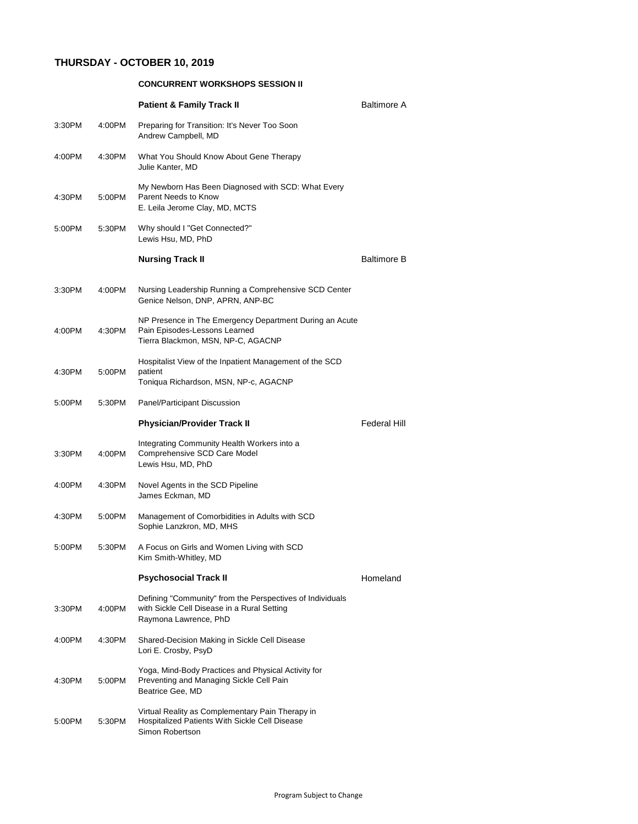### **THURSDAY - OCTOBER 10, 2019**

|        |        | <b>CONCURRENT WORKSHOPS SESSION II</b>                                                                                            |                     |
|--------|--------|-----------------------------------------------------------------------------------------------------------------------------------|---------------------|
|        |        | <b>Patient &amp; Family Track II</b>                                                                                              | <b>Baltimore A</b>  |
| 3:30PM | 4:00PM | Preparing for Transition: It's Never Too Soon<br>Andrew Campbell, MD                                                              |                     |
| 4:00PM | 4:30PM | What You Should Know About Gene Therapy<br>Julie Kanter, MD                                                                       |                     |
| 4:30PM | 5:00PM | My Newborn Has Been Diagnosed with SCD: What Every<br>Parent Needs to Know<br>E. Leila Jerome Clay, MD, MCTS                      |                     |
| 5:00PM | 5:30PM | Why should I "Get Connected?"<br>Lewis Hsu, MD, PhD                                                                               |                     |
|        |        | <b>Nursing Track II</b>                                                                                                           | <b>Baltimore B</b>  |
| 3:30PM | 4:00PM | Nursing Leadership Running a Comprehensive SCD Center<br>Genice Nelson, DNP, APRN, ANP-BC                                         |                     |
| 4:00PM | 4:30PM | NP Presence in The Emergency Department During an Acute<br>Pain Episodes-Lessons Learned<br>Tierra Blackmon, MSN, NP-C, AGACNP    |                     |
| 4:30PM | 5:00PM | Hospitalist View of the Inpatient Management of the SCD<br>patient<br>Toniqua Richardson, MSN, NP-c, AGACNP                       |                     |
| 5:00PM | 5:30PM | <b>Panel/Participant Discussion</b>                                                                                               |                     |
|        |        | <b>Physician/Provider Track II</b>                                                                                                | <b>Federal Hill</b> |
| 3:30PM | 4:00PM | Integrating Community Health Workers into a<br><b>Comprehensive SCD Care Model</b><br>Lewis Hsu, MD, PhD                          |                     |
| 4:00PM | 4:30PM | Novel Agents in the SCD Pipeline<br>James Eckman, MD                                                                              |                     |
| 4:30PM | 5:00PM | Management of Comorbidities in Adults with SCD<br>Sophie Lanzkron, MD, MHS                                                        |                     |
| 5:00PM | 5:30PM | A Focus on Girls and Women Living with SCD<br>Kim Smith-Whitley, MD                                                               |                     |
|        |        | <b>Psychosocial Track II</b>                                                                                                      | Homeland            |
| 3:30PM | 4:00PM | Defining "Community" from the Perspectives of Individuals<br>with Sickle Cell Disease in a Rural Setting<br>Raymona Lawrence, PhD |                     |
| 4:00PM | 4:30PM | Shared-Decision Making in Sickle Cell Disease<br>Lori E. Crosby, PsyD                                                             |                     |

4:30PM 5:00PM Yoga, Mind-Body Practices and Physical Activity for Preventing and Managing Sickle Cell Pain Beatrice Gee, MD

5:00PM 5:30PM Virtual Reality as Complementary Pain Therapy in Hospitalized Patients With Sickle Cell Disease Simon Robertson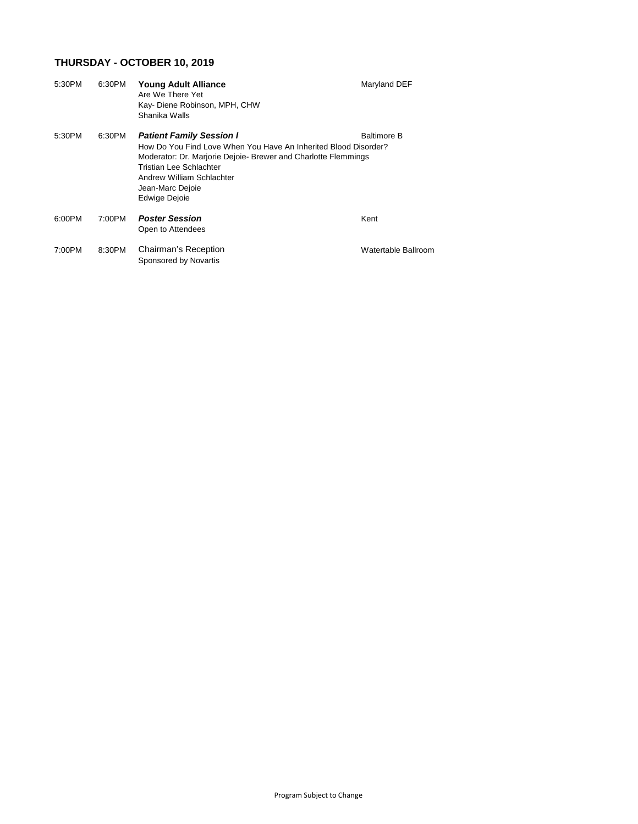# **THURSDAY - OCTOBER 10, 2019**

| 5:30PM | 6:30PM | <b>Young Adult Alliance</b><br>Are We There Yet<br>Kay- Diene Robinson, MPH, CHW<br>Shanika Walls                                                                                                                                                                        | Maryland DEF        |
|--------|--------|--------------------------------------------------------------------------------------------------------------------------------------------------------------------------------------------------------------------------------------------------------------------------|---------------------|
| 5:30PM | 6:30PM | <b>Patient Family Session I</b><br>How Do You Find Love When You Have An Inherited Blood Disorder?<br>Moderator: Dr. Marjorie Dejoie- Brewer and Charlotte Flemmings<br>Tristian Lee Schlachter<br><b>Andrew William Schlachter</b><br>Jean-Marc Dejoie<br>Edwige Dejoie | <b>Baltimore B</b>  |
| 6:00PM | 7:00PM | <b>Poster Session</b><br>Open to Attendees                                                                                                                                                                                                                               | Kent                |
| 7:00PM | 8:30PM | <b>Chairman's Reception</b><br>Sponsored by Novartis                                                                                                                                                                                                                     | Watertable Ballroom |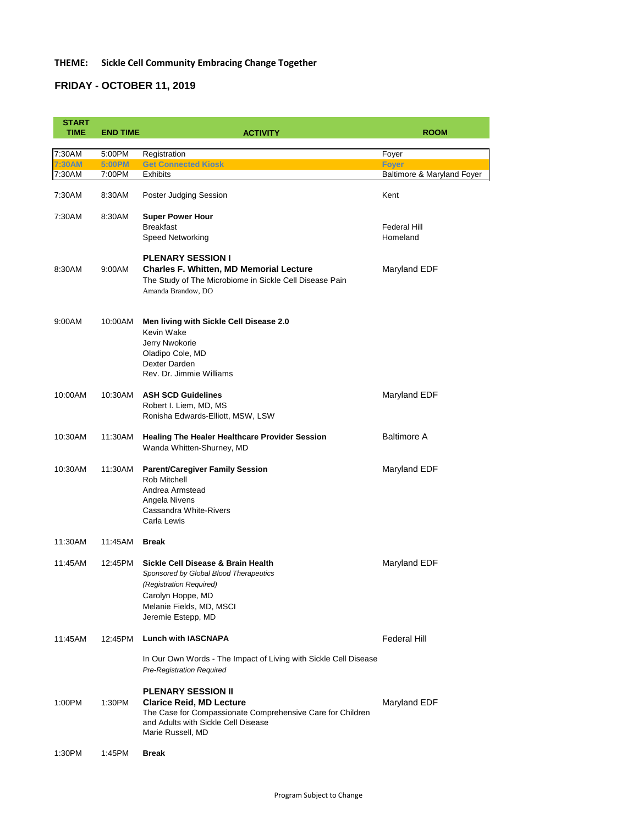### **THEME: Sickle Cell Community Embracing Change Together**

### **FRIDAY - OCTOBER 11, 2019**

| <b>START</b> |                 |                                                                                                                                                                                |                            |
|--------------|-----------------|--------------------------------------------------------------------------------------------------------------------------------------------------------------------------------|----------------------------|
| <b>TIME</b>  | <b>END TIME</b> | <b>ACTIVITY</b>                                                                                                                                                                | <b>ROOM</b>                |
|              |                 |                                                                                                                                                                                |                            |
| 7:30AM       | 5:00PM          | Registration                                                                                                                                                                   | Foyer                      |
| 7:30AM       | <b>5:00PM</b>   | <b>Get Connected Kiosk</b>                                                                                                                                                     | <b>Foyer</b>               |
| 7:30AM       | 7:00PM          | <b>Exhibits</b>                                                                                                                                                                | Baltimore & Maryland Foyer |
| 7:30AM       | 8:30AM          | Poster Judging Session                                                                                                                                                         | Kent                       |
| 7:30AM       | 8:30AM          | <b>Super Power Hour</b>                                                                                                                                                        |                            |
|              |                 | <b>Breakfast</b>                                                                                                                                                               | <b>Federal Hill</b>        |
|              |                 | <b>Speed Networking</b>                                                                                                                                                        | Homeland                   |
| 8:30AM       | 9:00AM          | <b>PLENARY SESSION I</b><br><b>Charles F. Whitten, MD Memorial Lecture</b><br>The Study of The Microbiome in Sickle Cell Disease Pain<br>Amanda Brandow, DO                    | Maryland EDF               |
| 9:00AM       | 10:00AM         | Men living with Sickle Cell Disease 2.0<br>Kevin Wake<br>Jerry Nwokorie<br>Oladipo Cole, MD<br>Dexter Darden<br>Rev. Dr. Jimmie Williams                                       |                            |
| 10:00AM      | 10:30AM         | <b>ASH SCD Guidelines</b><br>Robert I. Liem, MD, MS<br>Ronisha Edwards-Elliott, MSW, LSW                                                                                       | Maryland EDF               |
| 10:30AM      | 11:30AM         | <b>Healing The Healer Healthcare Provider Session</b><br>Wanda Whitten-Shurney, MD                                                                                             | <b>Baltimore A</b>         |
| 10:30AM      | 11:30AM         | <b>Parent/Caregiver Family Session</b><br>Rob Mitchell<br>Andrea Armstead<br>Angela Nivens<br><b>Cassandra White-Rivers</b><br>Carla Lewis                                     | Maryland EDF               |
| 11:30AM      | 11:45AM         | <b>Break</b>                                                                                                                                                                   |                            |
| 11:45AM      | 12:45PM         | Sickle Cell Disease & Brain Health<br>Sponsored by Global Blood Therapeutics<br>(Registration Required)<br>Carolyn Hoppe, MD<br>Melanie Fields, MD, MSCI<br>Jeremie Estepp, MD | Maryland EDF               |

1:00PM 1:30PM **Clarice Reid, MD Lecture** Maryland EDF The Case for Compassionate Comprehensive Care for Children and Adults with Sickle Cell Disease Marie Russell, MD

In Our Own Words - The Impact of Living with Sickle Cell Disease *Pre-Registration Required*

### **PLENARY SESSION II**

1:30PM 1:45PM **Break**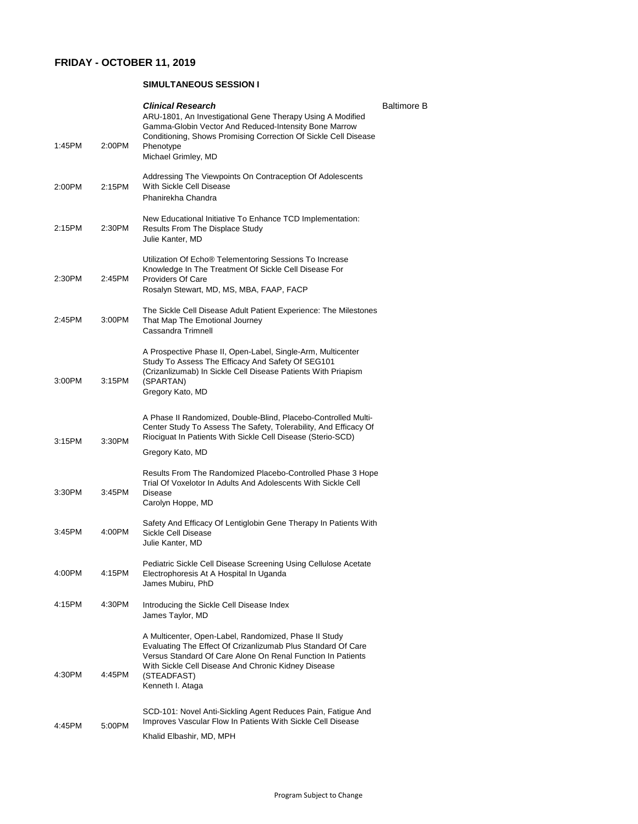### **FRIDAY - OCTOBER 11, 2019**

#### **SIMULTANEOUS SESSION I**

| 1:45PM | 2:00PM | <b>Clinical Research</b><br>ARU-1801, An Investigational Gene Therapy Using A Modified<br>Gamma-Globin Vector And Reduced-Intensity Bone Marrow<br>Conditioning, Shows Promising Correction Of Sickle Cell Disease<br>Phenotype<br>Michael Grimley, MD | <b>Baltimore B</b> |
|--------|--------|--------------------------------------------------------------------------------------------------------------------------------------------------------------------------------------------------------------------------------------------------------|--------------------|
| 2:00PM | 2:15PM | Addressing The Viewpoints On Contraception Of Adolescents<br>With Sickle Cell Disease<br>Phanirekha Chandra                                                                                                                                            |                    |
| 2:15PM | 2:30PM | New Educational Initiative To Enhance TCD Implementation:<br><b>Results From The Displace Study</b><br>Julie Kanter, MD                                                                                                                                |                    |
| 2:30PM | 2:45PM | Utilization Of Echo® Telementoring Sessions To Increase<br>Knowledge In The Treatment Of Sickle Cell Disease For<br><b>Providers Of Care</b><br>Rosalyn Stewart, MD, MS, MBA, FAAP, FACP                                                               |                    |
| 2:45PM | 3:00PM | The Sickle Cell Disease Adult Patient Experience: The Milestones<br>That Map The Emotional Journey<br><b>Cassandra Trimnell</b>                                                                                                                        |                    |
| 3:00PM | 3:15PM | A Prospective Phase II, Open-Label, Single-Arm, Multicenter<br>Study To Assess The Efficacy And Safety Of SEG101<br>(Crizanlizumab) In Sickle Cell Disease Patients With Priapism<br>(SPARTAN)<br>Gregory Kato, MD                                     |                    |
| 3:15PM | 3:30PM | A Phase II Randomized, Double-Blind, Placebo-Controlled Multi-<br>Center Study To Assess The Safety, Tolerability, And Efficacy Of<br>Riociguat In Patients With Sickle Cell Disease (Sterio-SCD)<br>Gregory Kato, MD                                  |                    |
| 3:30PM | 3:45PM | Results From The Randomized Placebo-Controlled Phase 3 Hope<br>Trial Of Voxelotor In Adults And Adolescents With Sickle Cell<br><b>Disease</b><br>Carolyn Hoppe, MD                                                                                    |                    |
| 3:45PM | 4:00PM | Safety And Efficacy Of Lentiglobin Gene Therapy In Patients With<br>Sickle Cell Disease<br>Julie Kanter, MD                                                                                                                                            |                    |
| 4:00PM | 4:15PM | Pediatric Sickle Cell Disease Screening Using Cellulose Acetate<br>Electrophoresis At A Hospital In Uganda<br>James Mubiru, PhD                                                                                                                        |                    |
| 4:15PM | 4:30PM | Introducing the Sickle Cell Disease Index<br>James Taylor, MD                                                                                                                                                                                          |                    |
|        |        | A Multicenter, Open-Label, Randomized, Phase II Study<br>Evaluating The Effect Of Crizanlizumab Plus Standard Of Care                                                                                                                                  |                    |

4:30PM 4:45PM (STEADFAST) Kenneth I. Ataga

Versus Standard Of Care Alone On Renal Function In Patients With Sickle Cell Disease And Chronic Kidney Disease

4:45PM 5:00PM

SCD-101: Novel Anti-Sickling Agent Reduces Pain, Fatigue And Improves Vascular Flow In Patients With Sickle Cell Disease

Khalid Elbashir, MD, MPH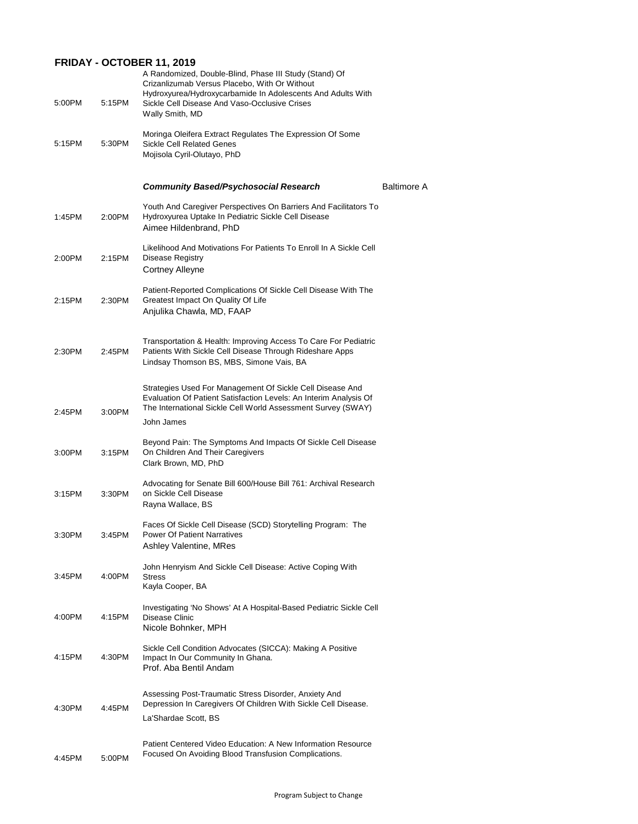### **FRIDAY - OCTOBER 11, 2019**

| 5:00PM | 5:15PM | A Randomized, Double-Blind, Phase III Study (Stand) Of<br>Crizanlizumab Versus Placebo, With Or Without<br>Hydroxyurea/Hydroxycarbamide In Adolescents And Adults With<br>Sickle Cell Disease And Vaso-Occlusive Crises<br>Wally Smith, MD |                    |
|--------|--------|--------------------------------------------------------------------------------------------------------------------------------------------------------------------------------------------------------------------------------------------|--------------------|
| 5:15PM | 5:30PM | Moringa Oleifera Extract Regulates The Expression Of Some<br><b>Sickle Cell Related Genes</b><br>Mojisola Cyril-Olutayo, PhD                                                                                                               |                    |
|        |        | <b>Community Based/Psychosocial Research</b>                                                                                                                                                                                               | <b>Baltimore A</b> |
| 1:45PM | 2:00PM | Youth And Caregiver Perspectives On Barriers And Facilitators To<br>Hydroxyurea Uptake In Pediatric Sickle Cell Disease<br>Aimee Hildenbrand, PhD                                                                                          |                    |
| 2:00PM | 2:15PM | Likelihood And Motivations For Patients To Enroll In A Sickle Cell<br><b>Disease Registry</b><br><b>Cortney Alleyne</b>                                                                                                                    |                    |
| 2:15PM | 2:30PM | Patient-Reported Complications Of Sickle Cell Disease With The<br><b>Greatest Impact On Quality Of Life</b><br>Anjulika Chawla, MD, FAAP                                                                                                   |                    |
| 2:30PM | 2:45PM | Transportation & Health: Improving Access To Care For Pediatric<br>Patients With Sickle Cell Disease Through Rideshare Apps<br>Lindsay Thomson BS, MBS, Simone Vais, BA                                                                    |                    |
| 2:45PM | 3:00PM | Strategies Used For Management Of Sickle Cell Disease And<br>Evaluation Of Patient Satisfaction Levels: An Interim Analysis Of<br>The International Sickle Cell World Assessment Survey (SWAY)                                             |                    |
|        |        | John James                                                                                                                                                                                                                                 |                    |
| 3:00PM | 3:15PM | Beyond Pain: The Symptoms And Impacts Of Sickle Cell Disease<br>On Children And Their Caregivers<br>Clark Brown, MD, PhD                                                                                                                   |                    |
| 3:15PM | 3:30PM | Advocating for Senate Bill 600/House Bill 761: Archival Research<br>on Sickle Cell Disease<br>Rayna Wallace, BS                                                                                                                            |                    |
| 3:30PM | 3:45PM | Faces Of Sickle Cell Disease (SCD) Storytelling Program: The<br><b>Power Of Patient Narratives</b><br><b>Ashley Valentine, MRes</b>                                                                                                        |                    |
| 3:45PM | 4:00PM | John Henryism And Sickle Cell Disease: Active Coping With<br><b>Stress</b><br>Kayla Cooper, BA                                                                                                                                             |                    |
| 4:00PM | 4:15PM | Investigating 'No Shows' At A Hospital-Based Pediatric Sickle Cell<br><b>Disease Clinic</b><br>Nicole Bohnker, MPH                                                                                                                         |                    |
|        |        | Sickle Cell Condition Advocates (SICCA): Making A Positive                                                                                                                                                                                 |                    |

4:15PM 4:30PM Impact In Our Community In Ghana. Prof. Aba Bentil Andam

4:30PM 4:45PM Assessing Post-Traumatic Stress Disorder, Anxiety And Depression In Caregivers Of Children With Sickle Cell Disease. La'Shardae Scott, BS

4:45PM 5:00PM Patient Centered Video Education: A New Information Resource Focused On Avoiding Blood Transfusion Complications.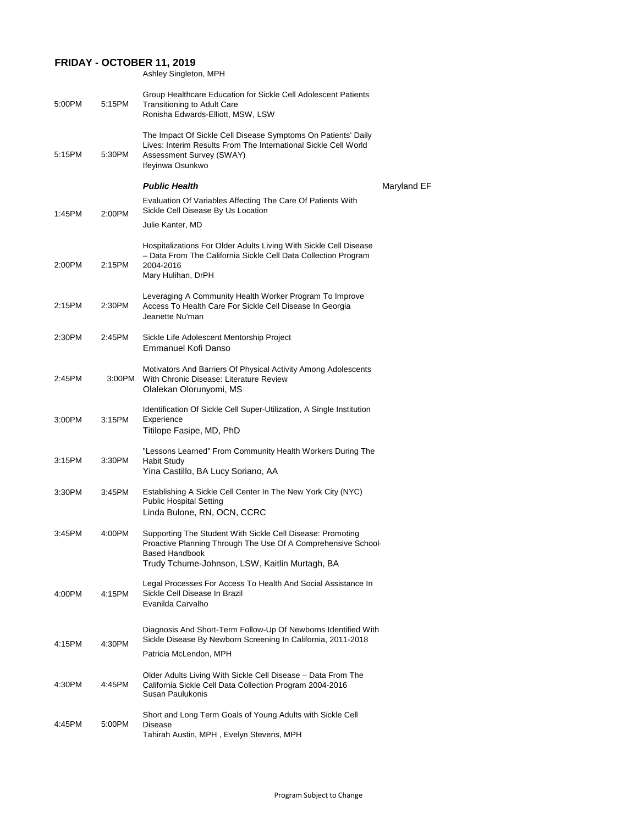## **FRIDAY - OCTOBER 11, 2019**

Ashley Singleton, MPH

| 5:00PM | 5:15PM | Group Healthcare Education for Sickle Cell Adolescent Patients<br><b>Transitioning to Adult Care</b><br>Ronisha Edwards-Elliott, MSW, LSW                                                              |             |
|--------|--------|--------------------------------------------------------------------------------------------------------------------------------------------------------------------------------------------------------|-------------|
| 5:15PM | 5:30PM | The Impact Of Sickle Cell Disease Symptoms On Patients' Daily<br>Lives: Interim Results From The International Sickle Cell World<br><b>Assessment Survey (SWAY)</b><br>Ifeyinwa Osunkwo                |             |
|        |        | <b>Public Health</b>                                                                                                                                                                                   | Maryland EF |
| 1:45PM | 2:00PM | Evaluation Of Variables Affecting The Care Of Patients With<br>Sickle Cell Disease By Us Location                                                                                                      |             |
|        |        | Julie Kanter, MD                                                                                                                                                                                       |             |
| 2:00PM | 2:15PM | Hospitalizations For Older Adults Living With Sickle Cell Disease<br>- Data From The California Sickle Cell Data Collection Program<br>2004-2016<br>Mary Hulihan, DrPH                                 |             |
| 2:15PM | 2:30PM | Leveraging A Community Health Worker Program To Improve<br>Access To Health Care For Sickle Cell Disease In Georgia<br>Jeanette Nu'man                                                                 |             |
| 2:30PM | 2:45PM | Sickle Life Adolescent Mentorship Project<br><b>Emmanuel Kofi Danso</b>                                                                                                                                |             |
| 2:45PM | 3:00PM | Motivators And Barriers Of Physical Activity Among Adolescents<br>With Chronic Disease: Literature Review<br>Olalekan Olorunyomi, MS                                                                   |             |
| 3:00PM | 3:15PM | Identification Of Sickle Cell Super-Utilization, A Single Institution<br>Experience<br>Titilope Fasipe, MD, PhD                                                                                        |             |
| 3:15PM | 3:30PM | "Lessons Learned" From Community Health Workers During The<br><b>Habit Study</b><br>Yina Castillo, BA Lucy Soriano, AA                                                                                 |             |
| 3:30PM | 3:45PM | Establishing A Sickle Cell Center In The New York City (NYC)<br><b>Public Hospital Setting</b><br>Linda Bulone, RN, OCN, CCRC                                                                          |             |
| 3:45PM | 4:00PM | Supporting The Student With Sickle Cell Disease: Promoting<br>Proactive Planning Through The Use Of A Comprehensive School-<br><b>Based Handbook</b><br>Trudy Tchume-Johnson, LSW, Kaitlin Murtagh, BA |             |
| 4:00PM | 4:15PM | Legal Processes For Access To Health And Social Assistance In<br>Sickle Cell Disease In Brazil<br>Evanilda Carvalho                                                                                    |             |
| 4:15PM | 4:30PM | Diagnosis And Short-Term Follow-Up Of Newborns Identified With<br>Sickle Disease By Newborn Screening In California, 2011-2018                                                                         |             |

Patricia McLendon, MPH

4:30PM 4:45PM Older Adults Living With Sickle Cell Disease – Data From The California Sickle Cell Data Collection Program 2004-2016 Susan Paulukonis

4:45PM 5:00PM Disease

Short and Long Term Goals of Young Adults with Sickle Cell

Tahirah Austin, MPH , Evelyn Stevens, MPH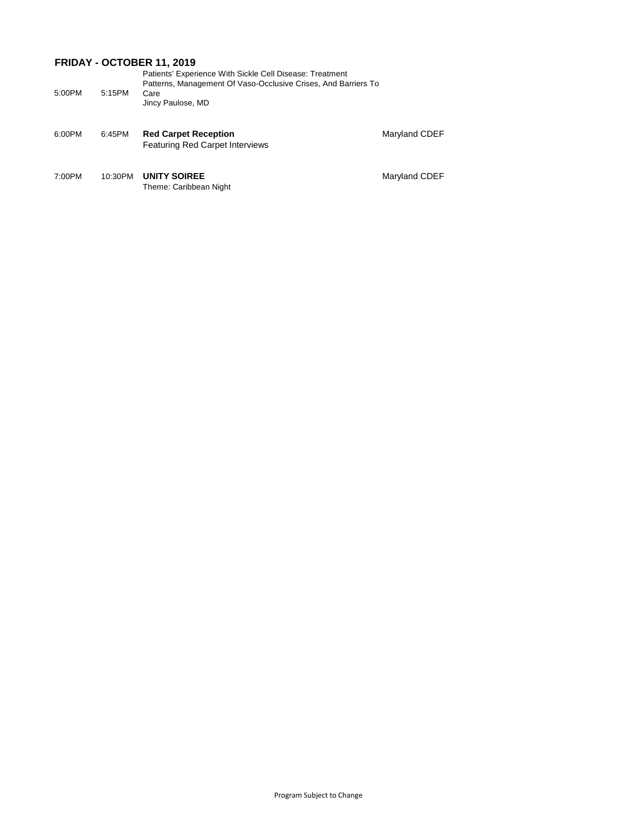## **FRIDAY - OCTOBER 11, 2019**

|        |        | Patients' Experience With Sickle Cell Disease: Treatment       |
|--------|--------|----------------------------------------------------------------|
|        |        | Patterns, Management Of Vaso-Occlusive Crises, And Barriers To |
| 5:00PM | 5:15PM | Care                                                           |
|        |        | Jincy Paulose, MD                                              |
|        |        |                                                                |

7:00PM 10:30PM UNITY SOIREE **Maryland CDEF** Theme: Caribbean Night

6:00PM 6:45PM **Red Carpet Reception** Maryland CDEF Featuring Red Carpet Interviews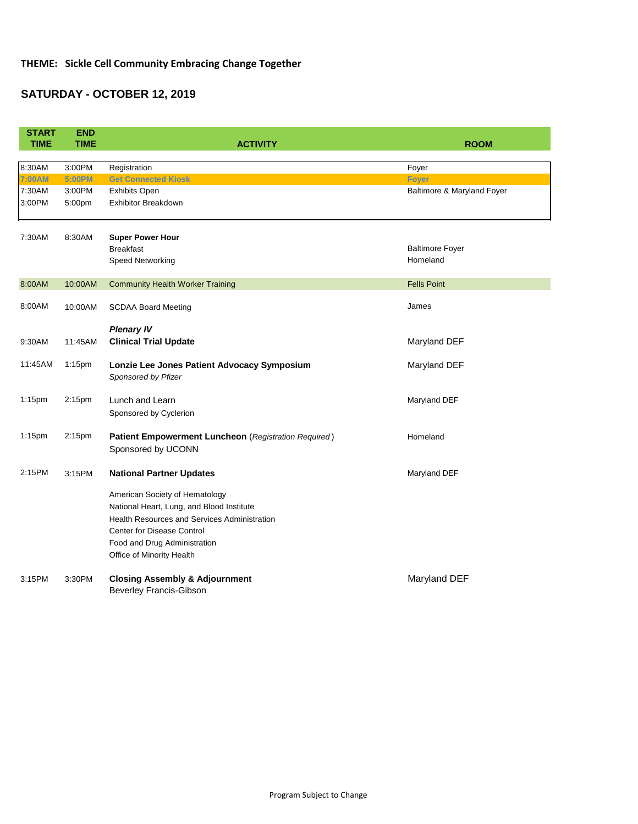## **THEME: Sickle Cell Community Embracing Change Together**

# **SATURDAY - OCTOBER 12, 2019**

| <b>START</b><br><b>TIME</b> | <b>END</b><br><b>TIME</b> | <b>ACTIVITY</b>                                                                           | <b>ROOM</b>                                |
|-----------------------------|---------------------------|-------------------------------------------------------------------------------------------|--------------------------------------------|
|                             |                           |                                                                                           |                                            |
| 8:30AM                      | 3:00PM                    | Registration                                                                              | Foyer                                      |
| 7:00AM<br>7:30AM            | 5:00PM<br>3:00PM          | <b>Get Connected Kiosk</b><br><b>Exhibits Open</b>                                        | <b>Foyer</b><br>Baltimore & Maryland Foyer |
| 3:00PM                      | 5:00pm                    | <b>Exhibitor Breakdown</b>                                                                |                                            |
|                             |                           |                                                                                           |                                            |
| 7:30AM                      | 8:30AM                    | <b>Super Power Hour</b>                                                                   |                                            |
|                             |                           | <b>Breakfast</b>                                                                          | <b>Baltimore Foyer</b>                     |
|                             |                           | <b>Speed Networking</b>                                                                   | Homeland                                   |
|                             |                           |                                                                                           |                                            |
| 8:00AM                      | 10:00AM                   | <b>Community Health Worker Training</b>                                                   | <b>Fells Point</b>                         |
| 8:00AM                      | 10:00AM                   | <b>SCDAA Board Meeting</b>                                                                | James                                      |
|                             |                           |                                                                                           |                                            |
|                             |                           | <b>Plenary IV</b>                                                                         |                                            |
| 9:30AM                      | 11:45AM                   | <b>Clinical Trial Update</b>                                                              | Maryland DEF                               |
| 11:45AM                     | $1:15$ pm                 | Lonzie Lee Jones Patient Advocacy Symposium                                               | Maryland DEF                               |
|                             |                           | Sponsored by Pfizer                                                                       |                                            |
| 1:15pm                      | 2:15pm                    | Lunch and Learn                                                                           | Maryland DEF                               |
|                             |                           | Sponsored by Cyclerion                                                                    |                                            |
|                             |                           |                                                                                           |                                            |
| $1:15$ pm                   | 2:15pm                    | <b>Patient Empowerment Luncheon</b> (Registration Required)                               | Homeland                                   |
|                             |                           | Sponsored by UCONN                                                                        |                                            |
| 2:15PM                      | 3:15PM                    | <b>National Partner Updates</b>                                                           | Maryland DEF                               |
|                             |                           |                                                                                           |                                            |
|                             |                           | American Society of Hematology                                                            |                                            |
|                             |                           | National Heart, Lung, and Blood Institute<br>Health Resources and Services Administration |                                            |
|                             |                           | <b>Center for Disease Control</b>                                                         |                                            |
|                             |                           | Food and Drug Administration                                                              |                                            |
|                             |                           | Office of Minority Health                                                                 |                                            |
|                             |                           |                                                                                           |                                            |
| 3:15PM                      | 3:30PM                    | <b>Closing Assembly &amp; Adjournment</b>                                                 | Maryland DEF                               |
|                             |                           | <b>Beverley Francis-Gibson</b>                                                            |                                            |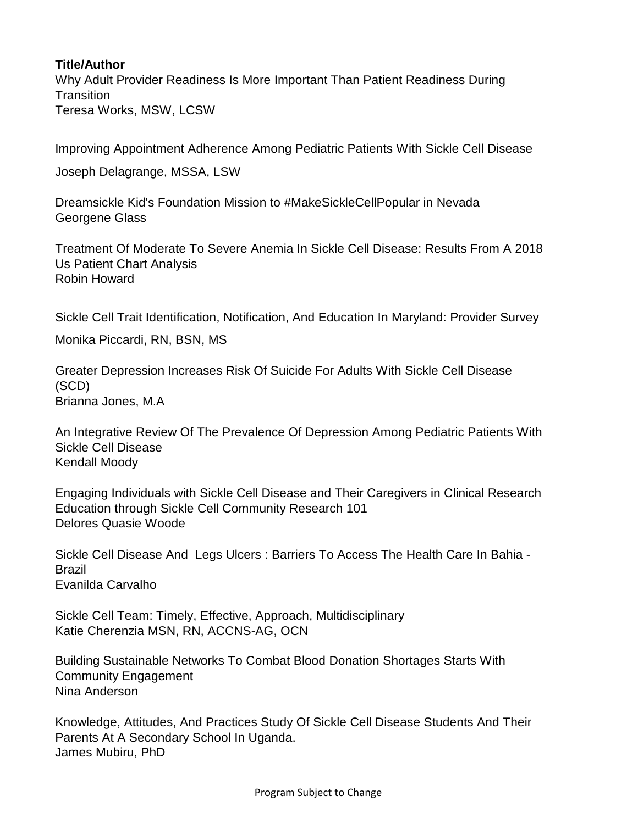#### **Title/Author**

Why Adult Provider Readiness Is More Important Than Patient Readiness During **Transition** Teresa Works, MSW, LCSW

Improving Appointment Adherence Among Pediatric Patients With Sickle Cell Disease

Joseph Delagrange, MSSA, LSW

Dreamsickle Kid's Foundation Mission to #MakeSickleCellPopular in Nevada Georgene Glass

Treatment Of Moderate To Severe Anemia In Sickle Cell Disease: Results From A 2018 Us Patient Chart Analysis Robin Howard

Sickle Cell Trait Identification, Notification, And Education In Maryland: Provider Survey

Monika Piccardi, RN, BSN, MS

Greater Depression Increases Risk Of Suicide For Adults With Sickle Cell Disease (SCD) Brianna Jones, M.A

An Integrative Review Of The Prevalence Of Depression Among Pediatric Patients With Sickle Cell Disease Kendall Moody

Engaging Individuals with Sickle Cell Disease and Their Caregivers in Clinical Research Education through Sickle Cell Community Research 101 Delores Quasie Woode

Sickle Cell Disease And Legs Ulcers : Barriers To Access The Health Care In Bahia - Brazil Evanilda Carvalho

Sickle Cell Team: Timely, Effective, Approach, Multidisciplinary Katie Cherenzia MSN, RN, ACCNS-AG, OCN

Building Sustainable Networks To Combat Blood Donation Shortages Starts With Community Engagement Nina Anderson

Knowledge, Attitudes, And Practices Study Of Sickle Cell Disease Students And Their Parents At A Secondary School In Uganda. James Mubiru, PhD